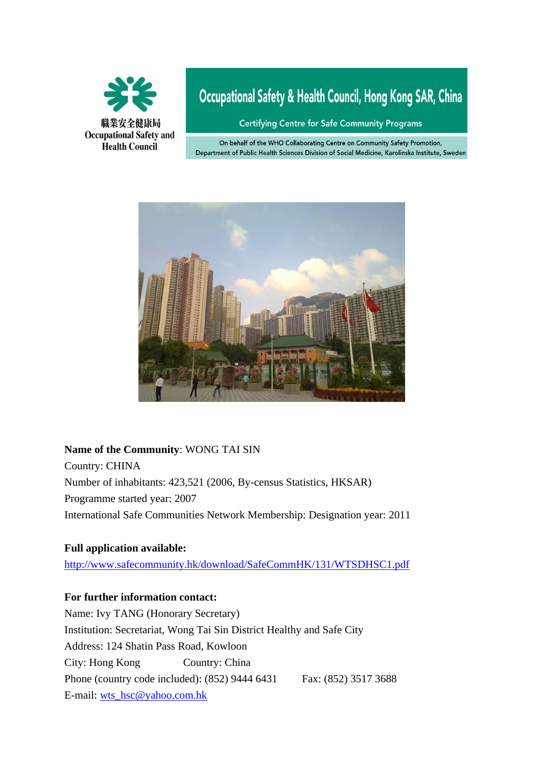

# Occupational Safety & Health Council, Hong Kong SAR, China

**Certifying Centre for Safe Community Programs** 

On behalf of the WHO Collaborating Centre on Community Safety Promotion, Department of Public Health Sciences Division of Social Medicine, Karolinska Institute, Sweden



#### **Name of the Community**: WONG TAI SIN

Country: CHINA Number of inhabitants: 423,521 (2006, By-census Statistics, HKSAR) Programme started year: 2007 International Safe Communities Network Membership: Designation year: 2011

#### **Full application available:**

<http://www.safecommunity.hk/download/SafeCommHK/131/WTSDHSC1.pdf>

#### **For further information contact:**

Name: Ivy TANG (Honorary Secretary) Institution: Secretariat, Wong Tai Sin District Healthy and Safe City Address: 124 Shatin Pass Road, Kowloon City: Hong Kong Country: China Phone (country code included): (852) 9444 6431 Fax: (852) 3517 3688 E-mail: [wts\\_hsc@yahoo.com.hk](mailto:wts_hsc@yahoo.com.hk)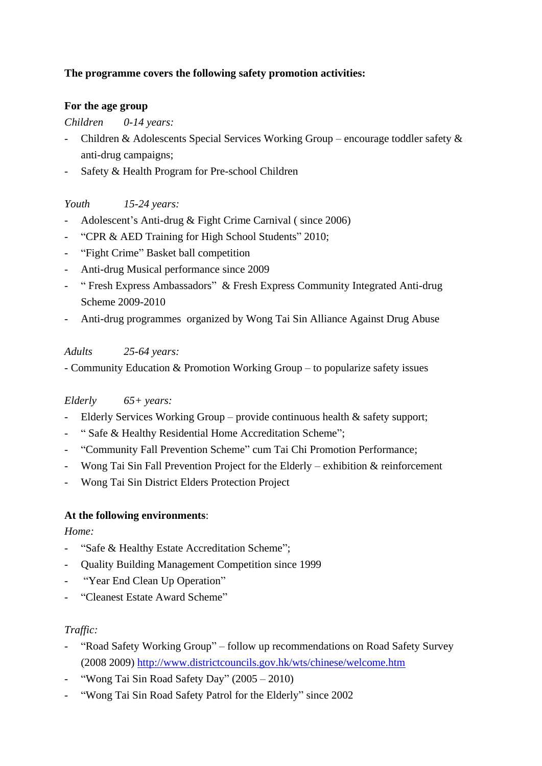# **The programme covers the following safety promotion activities:**

#### **For the age group**

#### *Children 0-14 years:*

- Children & Adolescents Special Services Working Group encourage toddler safety & anti-drug campaigns;
- Safety & Health Program for Pre-school Children

# *Youth 15-24 years:*

- Adolescent's Anti-drug & Fight Crime Carnival ( since 2006)
- "CPR & AED Training for High School Students" 2010:
- "Fight Crime" Basket ball competition
- Anti-drug Musical performance since 2009
- " Fresh Express Ambassadors" & Fresh Express Community Integrated Anti-drug Scheme 2009-2010
- Anti-drug programmes organized by Wong Tai Sin Alliance Against Drug Abuse

# *Adults 25-64 years:*

- Community Education & Promotion Working Group – to popularize safety issues

# *Elderly 65+ years:*

- Elderly Services Working Group provide continuous health & safety support;
- " Safe & Healthy Residential Home Accreditation Scheme";
- "Community Fall Prevention Scheme" cum Tai Chi Promotion Performance;
- Wong Tai Sin Fall Prevention Project for the Elderly exhibition & reinforcement
- Wong Tai Sin District Elders Protection Project

# **At the following environments**:

# *Home:*

- "Safe & Healthy Estate Accreditation Scheme";
- Quality Building Management Competition since 1999
- "Year End Clean Up Operation"
- "Cleanest Estate Award Scheme"

# *Traffic:*

- "Road Safety Working Group" follow up recommendations on Road Safety Survey (2008 2009) <http://www.districtcouncils.gov.hk/wts/chinese/welcome.htm>
- "Wong Tai Sin Road Safety Day"  $(2005 2010)$
- "Wong Tai Sin Road Safety Patrol for the Elderly" since 2002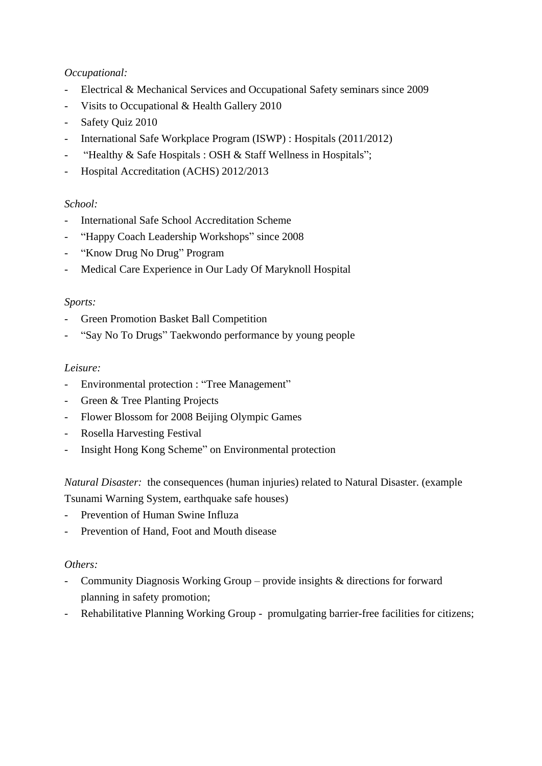### *Occupational:*

- Electrical & Mechanical Services and Occupational Safety seminars since 2009
- Visits to Occupational & Health Gallery 2010
- Safety Quiz 2010
- International Safe Workplace Program (ISWP) : Hospitals (2011/2012)
- "Healthy & Safe Hospitals : OSH & Staff Wellness in Hospitals";
- Hospital Accreditation (ACHS) 2012/2013

# *School:*

- International Safe School Accreditation Scheme
- "Happy Coach Leadership Workshops" since 2008
- "Know Drug No Drug" Program
- Medical Care Experience in Our Lady Of Maryknoll Hospital

#### *Sports:*

- Green Promotion Basket Ball Competition
- "Say No To Drugs" Taekwondo performance by young people

### *Leisure:*

- Environmental protection : "Tree Management"
- Green & Tree Planting Projects
- Flower Blossom for 2008 Beijing Olympic Games
- Rosella Harvesting Festival
- Insight Hong Kong Scheme" on Environmental protection

*Natural Disaster:* the consequences (human injuries) related to Natural Disaster. (example Tsunami Warning System, earthquake safe houses)

- Prevention of Human Swine Influza
- Prevention of Hand, Foot and Mouth disease

#### *Others:*

- Community Diagnosis Working Group provide insights & directions for forward planning in safety promotion;
- Rehabilitative Planning Working Group promulgating barrier-free facilities for citizens;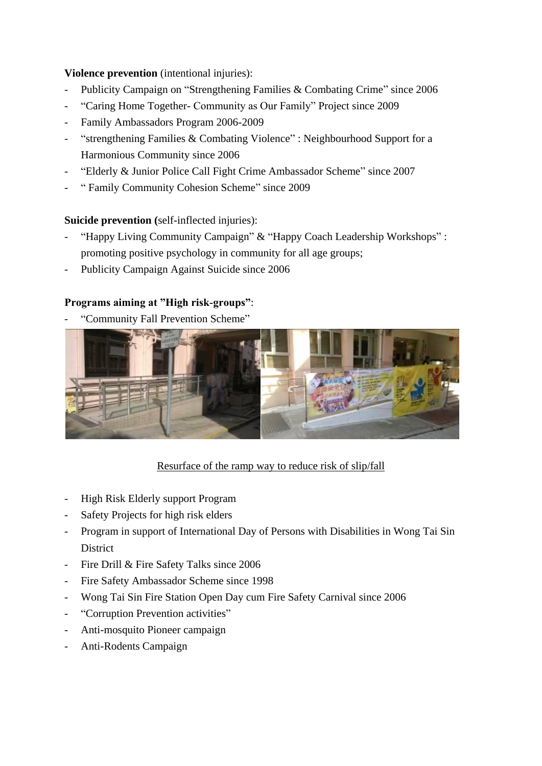### **Violence prevention** (intentional injuries):

- Publicity Campaign on "Strengthening Families & Combating Crime" since 2006
- "Caring Home Together- Community as Our Family" Project since 2009
- Family Ambassadors Program 2006-2009
- "strengthening Families & Combating Violence" : Neighbourhood Support for a Harmonious Community since 2006
- "Elderly & Junior Police Call Fight Crime Ambassador Scheme" since 2007
- " Family Community Cohesion Scheme" since 2009

#### **Suicide prevention (**self-inflected injuries):

- "Happy Living Community Campaign" & "Happy Coach Leadership Workshops" : promoting positive psychology in community for all age groups;
- Publicity Campaign Against Suicide since 2006

### **Programs aiming at "High risk-groups"**:

- "Community Fall Prevention Scheme"



# Resurface of the ramp way to reduce risk of slip/fall

- High Risk Elderly support Program
- Safety Projects for high risk elders
- Program in support of International Day of Persons with Disabilities in Wong Tai Sin **District**
- Fire Drill & Fire Safety Talks since 2006
- Fire Safety Ambassador Scheme since 1998
- Wong Tai Sin Fire Station Open Day cum Fire Safety Carnival since 2006
- "Corruption Prevention activities"
- Anti-mosquito Pioneer campaign
- Anti-Rodents Campaign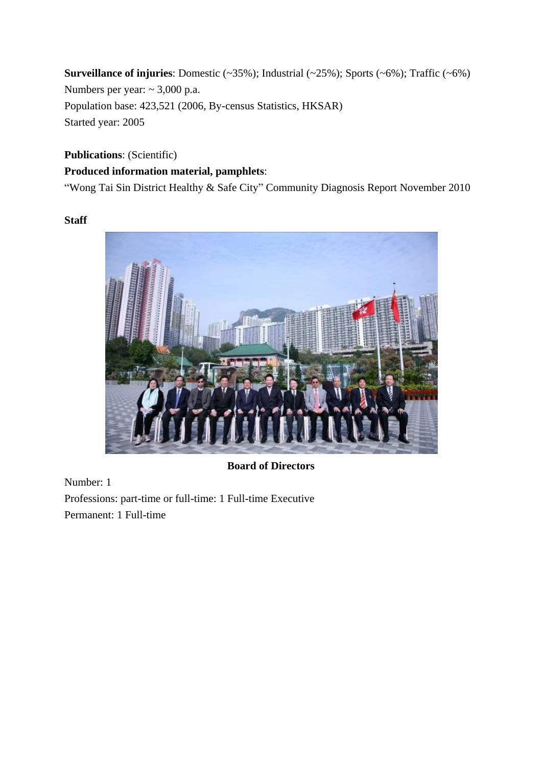**Surveillance of injuries**: Domestic (~35%); Industrial (~25%); Sports (~6%); Traffic (~6%) Numbers per year: ~ 3,000 p.a. Population base: 423,521 (2006, By-census Statistics, HKSAR) Started year: 2005

# **Publications**: (Scientific) **Produced information material, pamphlets**:

"Wong Tai Sin District Healthy & Safe City" Community Diagnosis Report November 2010

#### **Staff**



# **Board of Directors**

Number: 1 Professions: part-time or full-time: 1 Full-time Executive Permanent: 1 Full-time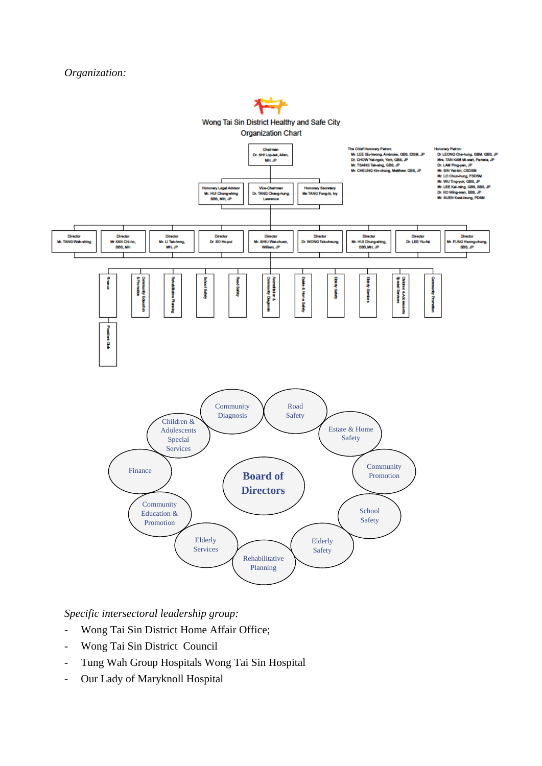#### *Organization:*



*Specific intersectoral leadership group:*

- Wong Tai Sin District Home Affair Office;
- Wong Tai Sin District Council
- Tung Wah Group Hospitals Wong Tai Sin Hospital
- Our Lady of Maryknoll Hospital